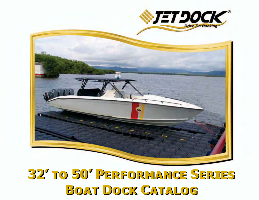

# **32' to 50' Performance Series 32' to 50' Performance Series Boat Dock Catalog Boat Dock Catalog**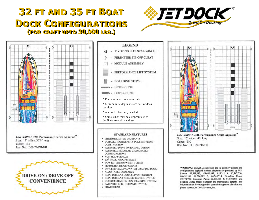#### **32 FT AND 35 FT BOAT** DOCK CONFIGURATIONS (FOR CRAFT UPTO 30,000 LBS.)









- PIVOTING PEDESTAL WINCH
- PERIMETER TIE-OFF CLEAT
- MODULE ASSEMBLY
	- PERFORMANCE LIFT SYSTEM
- **BOARDING STEPS** E
- $\longrightarrow$  INNER-BUNK
- **D** OUTER-BUNK
- \* For calm water locations only
- \* Mimimum 6' depth at stern half of dock required
- \* Access to electricily needed
- \* Some cubes may be compromised to
- facilitate assembly and use.

#### **STANDARD FEATURES**

- · LIFETIME LIMITED WARRANTY
- · DURABLE HIGH DENSITY POLYETHYLENE **CONSTRUCTION**
- · PATENTED DRIVE-ON RAMPED DESIGN
- PATENTED, MODULAR, CHANGEABLE **CONFIGURATIONS**
- · NON-SKID SURFACE
- · 270° WALK-AROUND SPACE
- **BOW RETENTION WINCH TURRET**  $\bullet$
- · PERIMETER TIE-OFF CLEATS
- · DRY, SELF-BAILING, WATER-DRAINING DECK
- · ADJUSTABLE BUOYANCY
- · HDPE TUBULAR BUNK SUPPORT SYSTEM
- HDPE TUBULAR KEEL DEFLECTION SYSTEM
- · CUSTOM DRIVE-ON BOW TRACKING SYSTEM
- PATENTED KEEL GUIDANCE SYSTEM ٠
- · POWERHEAD



**UNIVERSAL 35ft. Performance Series AquaPad"** Size: 15' wide x 40' long Cubes: 210 Item No.: D01-24-PD-101

WARNING: The Jet Dock System and its assembly designs and configurations depicted in these diagrams are protected by U.S. Patents #5,529,013; #5,682,833; #5,931,113; #5,947,050; #6,431,106; #6,526,902 & #6,745,714; Canadian Patent #2,174,705; European Patent #0,837,815 & #1,440,003; and pending United States, Canadian and International patents. For information on licensing and/or patent infringement clarification, please contact Jet Dock Systems, Inc.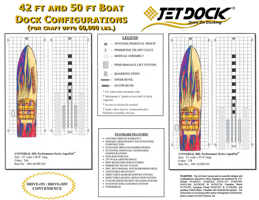#### 42 FT AND 50 FT BOAT DOCK CONFIGURATIONS (FOR CRAFT UPTO 60,000 LBS.)





**UNIVERSAL 42ft. Performance Series AquaPad** Size: 15' wide x 46'8" long Cubes: 244 Item No.: D01-28-PD-101





- \* For calm water locations only
- \* Mimimum 6' depth at stern half of dock required
- \* Access to electricily needed
- \* Some cubes may be compromised to facilitate assembly and use.

#### **STANDARD FEATURES**

- · LIFETIME LIMITED WARRANTY
- · DURABLE HIGH DENSITY POLYETHYLENE **CONSTRUCTION**
- · PATENTED DRIVE-ON RAMPED DESIGN
- · PATENTED, MODULAR, CHANGEABLE **CONFIGURATIONS**
- · NON-SKID SURFACE
- · 270 WALK-AROUND SPACE
- **BOW RETENTION WINCH TURRET**
- · PERIMETER TIE-OFF CLEATS
- · DRY, SELF-BAILING, WATER-DRAINING DECK
- · ADJUSTABLE BUOYANCY
- · HDPE TUBULAR BUNK SUPPORT SYSTEM
- · HDPE TUBULAR KEEL DEFLECTION SYSTEM
- · CUSTOM DRIVE-ON BOW TRACKING SYSTEM
- · PATENTED KEEL GUIDANCE SYSTEM
- · POWERHEAD



**UNIVERSAL 50ft. Performance Series AquaPad** Size: 15' wide x 53'4" long Cubes: 278 Item No.: D01-32-PD-101

WARNING: The Jet Dock System and its assembly designs and configurations depicted in these diagrams are protected by U.S. Patents #5,529,013; #5,682,833; #5,931,113; #5,947,050; #6,431,106; #6,526,902 & #6,745,714; Canadian Patent #2,174,705; European Patent #0,837,815 & #1,440,003; and pending United States, Canadian and International patents. For information on licensing and/or patent infringement clarification, please contact Jet Dock Systems, Inc.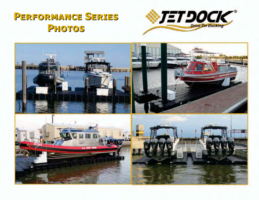# **Performance Series Performance Series Photos Photos**



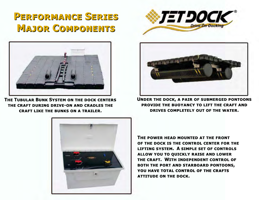# **Performance Series Performance Series Major Components Major Components**



**The Tubular Bunk System on the dock centers the craft during drive-on and cradles the craft like the bunks on a trailer.**





**Under the dock, a pair of submerged pontoons provide the buoyancy to lift the craft and drives completely out of the water.**



**The power head mounted at the front of the dock is the control center for the lifting system. A simple set of controls allow you to quickly raise and lower the craft. With independent control of both the port and starboard pontoons, you have total control of the crafts attitude on the dock.**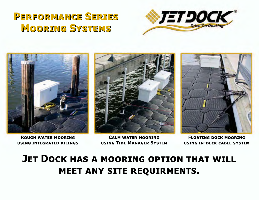# **Performance Series Performance Series Mooring Systems Mooring Systems**





**Rough water mooring using integrated pilings**

**Calm water mooring using Tide Manager System**



**Floating dock mooring using in-deck cable system**

#### **JET DOCK HAS A MOORING OPTION THAT WILL meet any site requirments.**